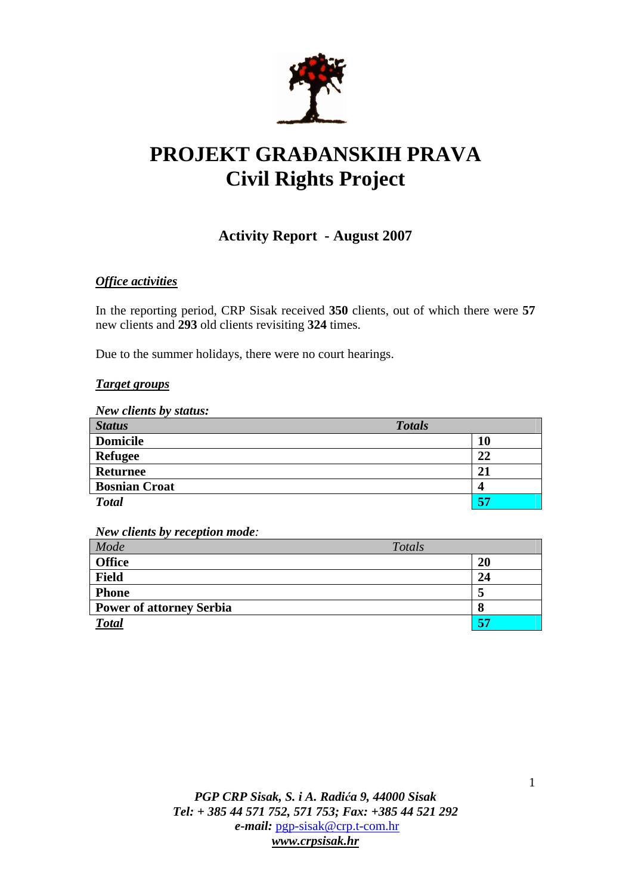

# **PROJEKT GRA**Đ**ANSKIH PRAVA Civil Rights Project**

# **Activity Report - August 2007**

# *Office activities*

In the reporting period, CRP Sisak received **350** clients, out of which there were **57**  new clients and **293** old clients revisiting **324** times.

Due to the summer holidays, there were no court hearings.

#### *Target groups*

*New clients by status:* 

| <b>Status</b>        | <b>Totals</b> |  |
|----------------------|---------------|--|
| <b>Domicile</b>      | 10            |  |
| <b>Refugee</b>       | 22            |  |
| <b>Returnee</b>      | 21            |  |
| <b>Bosnian Croat</b> | 4             |  |
| <b>Total</b>         | 57            |  |

*New clients by reception mode:* 

| Mode                            | Totals |           |
|---------------------------------|--------|-----------|
| <b>Office</b>                   |        | <b>20</b> |
| <b>Field</b>                    |        | 24        |
| <b>Phone</b>                    |        |           |
| <b>Power of attorney Serbia</b> |        |           |
| <b>Total</b>                    |        | 57        |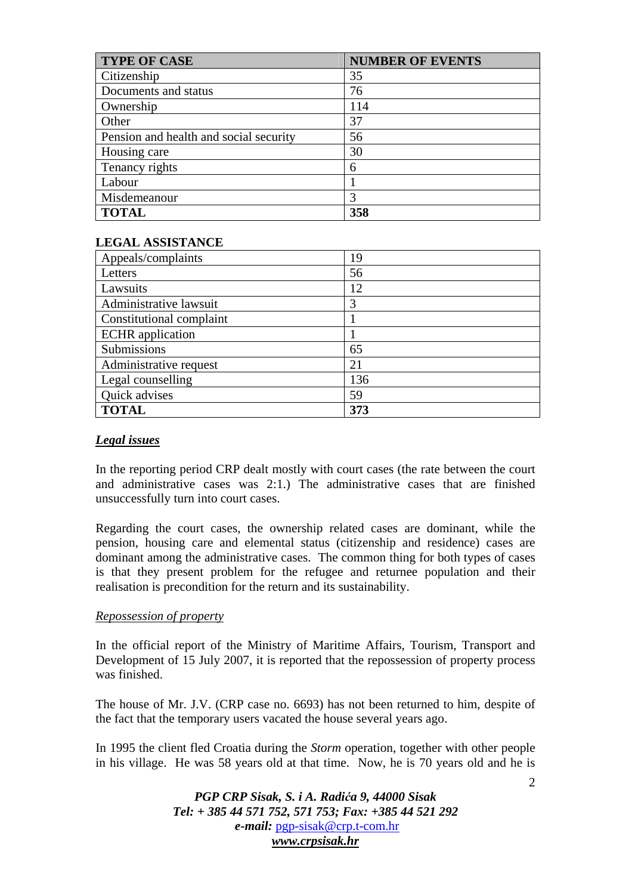| <b>TYPE OF CASE</b>                    | <b>NUMBER OF EVENTS</b> |
|----------------------------------------|-------------------------|
| Citizenship                            | 35                      |
| Documents and status                   | 76                      |
| Ownership                              | 114                     |
| Other                                  | 37                      |
| Pension and health and social security | 56                      |
| Housing care                           | 30                      |
| Tenancy rights                         | 6                       |
| Labour                                 |                         |
| Misdemeanour                           | 3                       |
| <b>TOTAL</b>                           | 358                     |

### **LEGAL ASSISTANCE**

| Appeals/complaints       | 19  |
|--------------------------|-----|
| Letters                  | 56  |
| Lawsuits                 | 12  |
| Administrative lawsuit   | 3   |
| Constitutional complaint |     |
| <b>ECHR</b> application  |     |
| Submissions              | 65  |
| Administrative request   | 21  |
| Legal counselling        | 136 |
| Quick advises            | 59  |
| <b>TOTAL</b>             | 373 |

# *Legal issues*

In the reporting period CRP dealt mostly with court cases (the rate between the court and administrative cases was 2:1.) The administrative cases that are finished unsuccessfully turn into court cases.

Regarding the court cases, the ownership related cases are dominant, while the pension, housing care and elemental status (citizenship and residence) cases are dominant among the administrative cases. The common thing for both types of cases is that they present problem for the refugee and returnee population and their realisation is precondition for the return and its sustainability.

#### *Repossession of property*

In the official report of the Ministry of Maritime Affairs, Tourism, Transport and Development of 15 July 2007, it is reported that the repossession of property process was finished.

The house of Mr. J.V. (CRP case no. 6693) has not been returned to him, despite of the fact that the temporary users vacated the house several years ago.

In 1995 the client fled Croatia during the *Storm* operation, together with other people in his village. He was 58 years old at that time. Now, he is 70 years old and he is

> *PGP CRP Sisak, S. i A. Radi*ć*a 9, 44000 Sisak Tel: + 385 44 571 752, 571 753; Fax: +385 44 521 292 e-mail:* pgp-sisak@crp.t-com.hr *www.crpsisak.hr*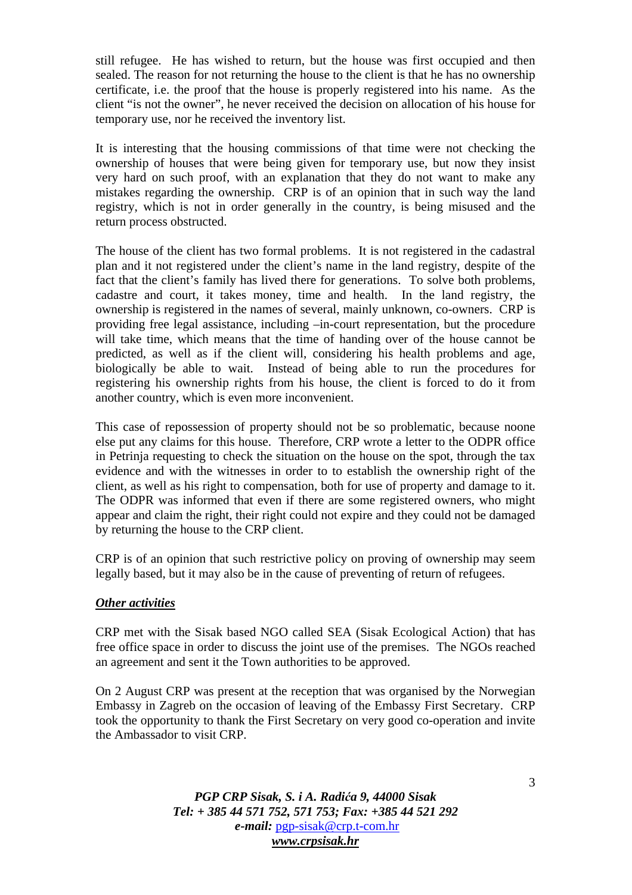still refugee. He has wished to return, but the house was first occupied and then sealed. The reason for not returning the house to the client is that he has no ownership certificate, i.e. the proof that the house is properly registered into his name. As the client "is not the owner", he never received the decision on allocation of his house for temporary use, nor he received the inventory list.

It is interesting that the housing commissions of that time were not checking the ownership of houses that were being given for temporary use, but now they insist very hard on such proof, with an explanation that they do not want to make any mistakes regarding the ownership. CRP is of an opinion that in such way the land registry, which is not in order generally in the country, is being misused and the return process obstructed.

The house of the client has two formal problems. It is not registered in the cadastral plan and it not registered under the client's name in the land registry, despite of the fact that the client's family has lived there for generations. To solve both problems, cadastre and court, it takes money, time and health. In the land registry, the ownership is registered in the names of several, mainly unknown, co-owners. CRP is providing free legal assistance, including –in-court representation, but the procedure will take time, which means that the time of handing over of the house cannot be predicted, as well as if the client will, considering his health problems and age, biologically be able to wait. Instead of being able to run the procedures for registering his ownership rights from his house, the client is forced to do it from another country, which is even more inconvenient.

This case of repossession of property should not be so problematic, because noone else put any claims for this house. Therefore, CRP wrote a letter to the ODPR office in Petrinja requesting to check the situation on the house on the spot, through the tax evidence and with the witnesses in order to to establish the ownership right of the client, as well as his right to compensation, both for use of property and damage to it. The ODPR was informed that even if there are some registered owners, who might appear and claim the right, their right could not expire and they could not be damaged by returning the house to the CRP client.

CRP is of an opinion that such restrictive policy on proving of ownership may seem legally based, but it may also be in the cause of preventing of return of refugees.

#### *Other activities*

CRP met with the Sisak based NGO called SEA (Sisak Ecological Action) that has free office space in order to discuss the joint use of the premises. The NGOs reached an agreement and sent it the Town authorities to be approved.

On 2 August CRP was present at the reception that was organised by the Norwegian Embassy in Zagreb on the occasion of leaving of the Embassy First Secretary. CRP took the opportunity to thank the First Secretary on very good co-operation and invite the Ambassador to visit CRP.

> *PGP CRP Sisak, S. i A. Radi*ć*a 9, 44000 Sisak Tel: + 385 44 571 752, 571 753; Fax: +385 44 521 292 e-mail:* pgp-sisak@crp.t-com.hr *www.crpsisak.hr*